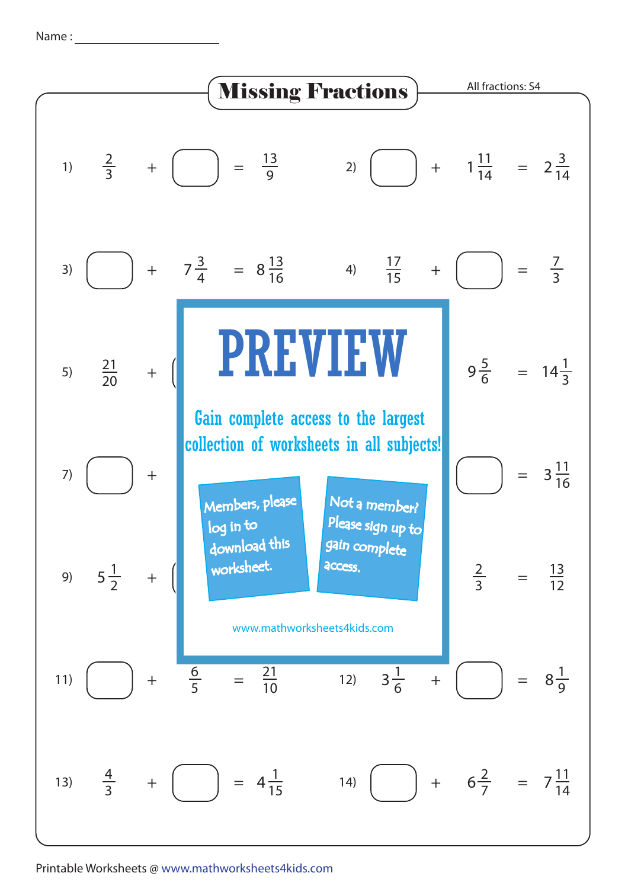